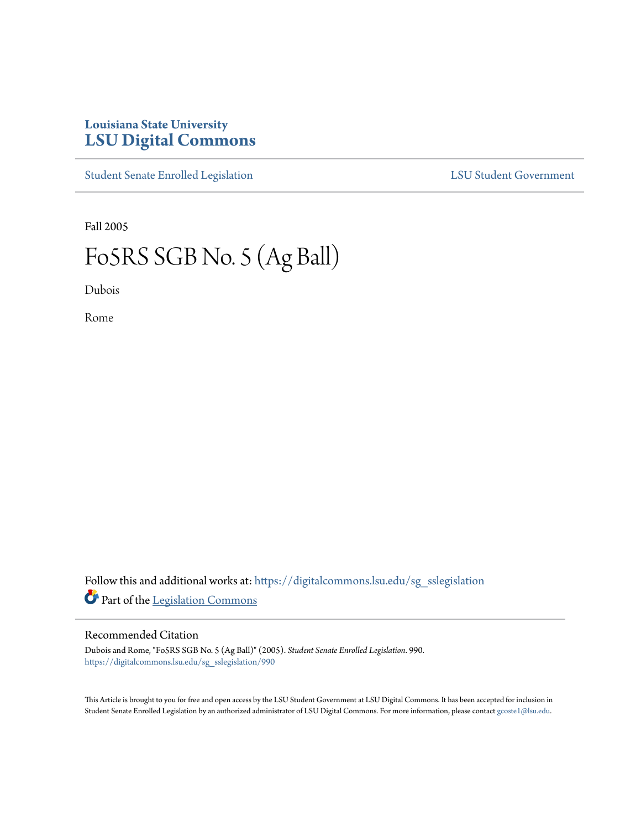# **Louisiana State University [LSU Digital Commons](https://digitalcommons.lsu.edu?utm_source=digitalcommons.lsu.edu%2Fsg_sslegislation%2F990&utm_medium=PDF&utm_campaign=PDFCoverPages)**

[Student Senate Enrolled Legislation](https://digitalcommons.lsu.edu/sg_sslegislation?utm_source=digitalcommons.lsu.edu%2Fsg_sslegislation%2F990&utm_medium=PDF&utm_campaign=PDFCoverPages) [LSU Student Government](https://digitalcommons.lsu.edu/sg?utm_source=digitalcommons.lsu.edu%2Fsg_sslegislation%2F990&utm_medium=PDF&utm_campaign=PDFCoverPages)

Fall 2005

# Fo5RS SGB No. 5 (Ag Ball)

Dubois

Rome

Follow this and additional works at: [https://digitalcommons.lsu.edu/sg\\_sslegislation](https://digitalcommons.lsu.edu/sg_sslegislation?utm_source=digitalcommons.lsu.edu%2Fsg_sslegislation%2F990&utm_medium=PDF&utm_campaign=PDFCoverPages) Part of the [Legislation Commons](http://network.bepress.com/hgg/discipline/859?utm_source=digitalcommons.lsu.edu%2Fsg_sslegislation%2F990&utm_medium=PDF&utm_campaign=PDFCoverPages)

#### Recommended Citation

Dubois and Rome, "Fo5RS SGB No. 5 (Ag Ball)" (2005). *Student Senate Enrolled Legislation*. 990. [https://digitalcommons.lsu.edu/sg\\_sslegislation/990](https://digitalcommons.lsu.edu/sg_sslegislation/990?utm_source=digitalcommons.lsu.edu%2Fsg_sslegislation%2F990&utm_medium=PDF&utm_campaign=PDFCoverPages)

This Article is brought to you for free and open access by the LSU Student Government at LSU Digital Commons. It has been accepted for inclusion in Student Senate Enrolled Legislation by an authorized administrator of LSU Digital Commons. For more information, please contact [gcoste1@lsu.edu.](mailto:gcoste1@lsu.edu)